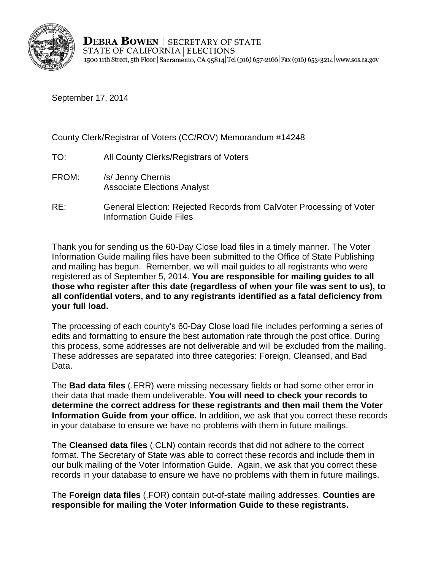

**DEBRA BOWEN** | SECRETARY OF STATE STATE OF CALIFORNIA | ELECTIONS 1500 11th Street, 5th Floor | Sacramento, CA 95814 Tel (916) 657-2166 | Fax (916) 653-3214 | www.sos.ca.gov

September 17, 2014

## County Clerk/Registrar of Voters (CC/ROV) Memorandum #14248

- TO: All County Clerks/Registrars of Voters
- FROM: /s/ Jenny Chernis Associate Elections Analyst
- RE: General Election: Rejected Records from CalVoter Processing of Voter Information Guide Files

Thank you for sending us the 60-Day Close load files in a timely manner. The Voter Information Guide mailing files have been submitted to the Office of State Publishing and mailing has begun. Remember, we will mail guides to all registrants who were registered as of September 5, 2014. **You are responsible for mailing guides to all those who register after this date (regardless of when your file was sent to us), to all confidential voters, and to any registrants identified as a fatal deficiency from your full load.**

The processing of each county's 60-Day Close load file includes performing a series of edits and formatting to ensure the best automation rate through the post office. During this process, some addresses are not deliverable and will be excluded from the mailing. These addresses are separated into three categories: Foreign, Cleansed, and Bad Data.

The **Bad data files** (.ERR) were missing necessary fields or had some other error in their data that made them undeliverable. **You will need to check your records to determine the correct address for these registrants and then mail them the Voter Information Guide from your office.** In addition, we ask that you correct these records in your database to ensure we have no problems with them in future mailings.

The **Cleansed data files** (.CLN) contain records that did not adhere to the correct format. The Secretary of State was able to correct these records and include them in our bulk mailing of the Voter Information Guide. Again, we ask that you correct these records in your database to ensure we have no problems with them in future mailings.

The **Foreign data files** (.FOR) contain out-of-state mailing addresses. **Counties are responsible for mailing the Voter Information Guide to these registrants.**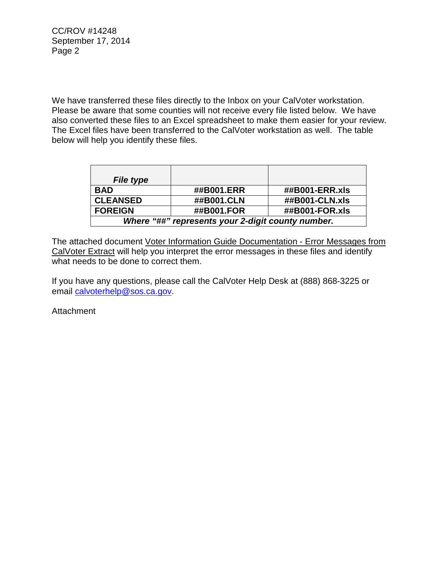We have transferred these files directly to the Inbox on your CalVoter workstation. Please be aware that some counties will not receive every file listed below. We have also converted these files to an Excel spreadsheet to make them easier for your review. The Excel files have been transferred to the CalVoter workstation as well. The table below will help you identify these files.

| <b>File type</b>                                  |            |                |  |
|---------------------------------------------------|------------|----------------|--|
| <b>BAD</b>                                        | ##B001.ERR | ##B001-ERR.xls |  |
| <b>CLEANSED</b>                                   | ##B001.CLN | ##B001-CLN.xls |  |
| <b>FOREIGN</b>                                    | ##B001.FOR | ##B001-FOR.xls |  |
| Where "##" represents your 2-digit county number. |            |                |  |

The attached document Voter Information Guide Documentation - Error Messages from CalVoter Extract will help you interpret the error messages in these files and identify what needs to be done to correct them.

If you have any questions, please call the CalVoter Help Desk at (888) 868-3225 or email [calvoterhelp@sos.ca.gov.](mailto:calvoterhelp@sos.ca.gov)

**Attachment**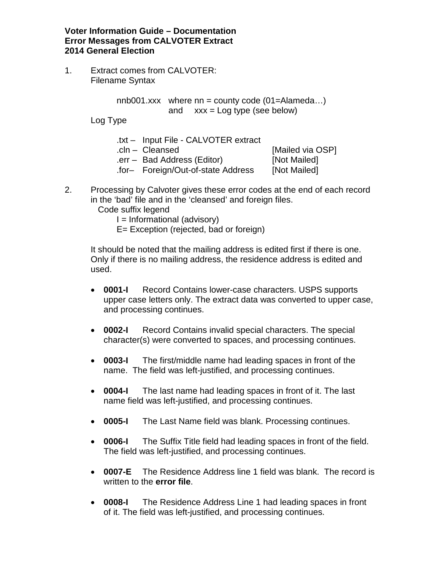## **Voter Information Guide – Documentation Error Messages from CALVOTER Extract 2014 General Election**

1. Extract comes from CALVOTER: Filename Syntax

> nnb001.xxx where  $nn =$  county code (01=Alameda...) and  $xxx = Log$  type (see below)

Log Type

|  |  | .txt - Input File - CALVOTER extract |
|--|--|--------------------------------------|
|--|--|--------------------------------------|

[Mailed via OSP] .err – Bad Address (Editor) [Not Mailed] .for– Foreign/Out-of-state Address [Not Mailed]

- 2. Processing by Calvoter gives these error codes at the end of each record in the 'bad' file and in the 'cleansed' and foreign files.
	- Code suffix legend
		- I = Informational (advisory)
		- E= Exception (rejected, bad or foreign)

It should be noted that the mailing address is edited first if there is one. Only if there is no mailing address, the residence address is edited and used.

- **0001-I** Record Contains lower-case characters. USPS supports upper case letters only. The extract data was converted to upper case, and processing continues.
- **0002-I** Record Contains invalid special characters. The special character(s) were converted to spaces, and processing continues.
- **0003-I** The first/middle name had leading spaces in front of the name. The field was left-justified, and processing continues.
- **0004-I** The last name had leading spaces in front of it. The last name field was left-justified, and processing continues.
- **0005-I** The Last Name field was blank. Processing continues.
- **0006-I** The Suffix Title field had leading spaces in front of the field. The field was left-justified, and processing continues.
- **0007-E** The Residence Address line 1 field was blank. The record is written to the **error file**.
- **0008-I** The Residence Address Line 1 had leading spaces in front of it. The field was left-justified, and processing continues.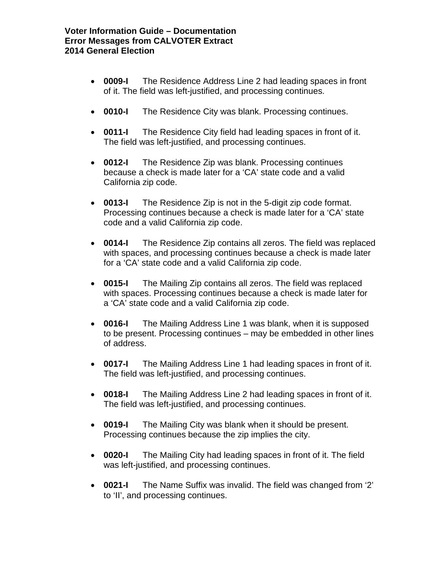- **0009-I** The Residence Address Line 2 had leading spaces in front of it. The field was left-justified, and processing continues.
- **0010-I** The Residence City was blank. Processing continues.
- **0011-I** The Residence City field had leading spaces in front of it. The field was left-justified, and processing continues.
- **0012-I** The Residence Zip was blank. Processing continues because a check is made later for a 'CA' state code and a valid California zip code.
- **0013-I** The Residence Zip is not in the 5-digit zip code format. Processing continues because a check is made later for a 'CA' state code and a valid California zip code.
- **0014-I** The Residence Zip contains all zeros. The field was replaced with spaces, and processing continues because a check is made later for a 'CA' state code and a valid California zip code.
- **0015-I** The Mailing Zip contains all zeros. The field was replaced with spaces. Processing continues because a check is made later for a 'CA' state code and a valid California zip code.
- **0016-I** The Mailing Address Line 1 was blank, when it is supposed to be present. Processing continues – may be embedded in other lines of address.
- **0017-I** The Mailing Address Line 1 had leading spaces in front of it. The field was left-justified, and processing continues.
- **0018-I** The Mailing Address Line 2 had leading spaces in front of it. The field was left-justified, and processing continues.
- **0019-I** The Mailing City was blank when it should be present. Processing continues because the zip implies the city.
- **0020-I** The Mailing City had leading spaces in front of it. The field was left-justified, and processing continues.
- **0021-I** The Name Suffix was invalid. The field was changed from '2' to 'II', and processing continues.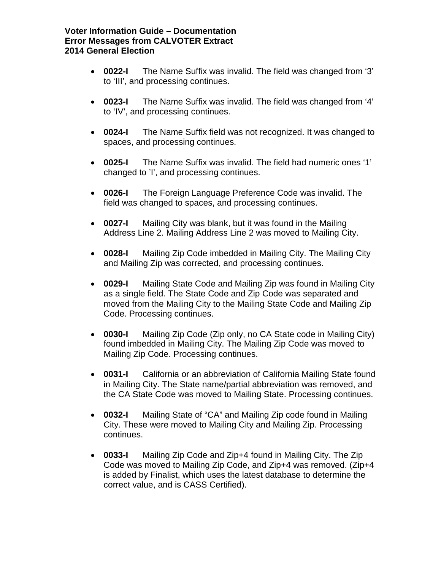## **Voter Information Guide – Documentation Error Messages from CALVOTER Extract 2014 General Election**

- **0022-I** The Name Suffix was invalid. The field was changed from '3' to 'III', and processing continues.
- **0023-I** The Name Suffix was invalid. The field was changed from '4' to 'IV', and processing continues.
- **0024-I** The Name Suffix field was not recognized. It was changed to spaces, and processing continues.
- **0025-I** The Name Suffix was invalid. The field had numeric ones '1' changed to 'I', and processing continues.
- **0026-I** The Foreign Language Preference Code was invalid. The field was changed to spaces, and processing continues.
- **0027-I** Mailing City was blank, but it was found in the Mailing Address Line 2. Mailing Address Line 2 was moved to Mailing City.
- **0028-I** Mailing Zip Code imbedded in Mailing City. The Mailing City and Mailing Zip was corrected, and processing continues.
- **0029-I** Mailing State Code and Mailing Zip was found in Mailing City as a single field. The State Code and Zip Code was separated and moved from the Mailing City to the Mailing State Code and Mailing Zip Code. Processing continues.
- **0030-I** Mailing Zip Code (Zip only, no CA State code in Mailing City) found imbedded in Mailing City. The Mailing Zip Code was moved to Mailing Zip Code. Processing continues.
- **0031-I** California or an abbreviation of California Mailing State found in Mailing City. The State name/partial abbreviation was removed, and the CA State Code was moved to Mailing State. Processing continues.
- **0032-I** Mailing State of "CA" and Mailing Zip code found in Mailing City. These were moved to Mailing City and Mailing Zip. Processing continues.
- **0033-I** Mailing Zip Code and Zip+4 found in Mailing City. The Zip Code was moved to Mailing Zip Code, and Zip+4 was removed. (Zip+4 is added by Finalist, which uses the latest database to determine the correct value, and is CASS Certified).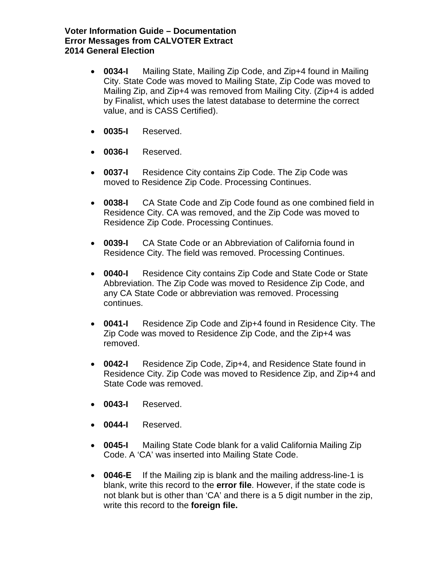## **Voter Information Guide – Documentation Error Messages from CALVOTER Extract 2014 General Election**

- **0034-I** Mailing State, Mailing Zip Code, and Zip+4 found in Mailing City. State Code was moved to Mailing State, Zip Code was moved to Mailing Zip, and Zip+4 was removed from Mailing City. (Zip+4 is added by Finalist, which uses the latest database to determine the correct value, and is CASS Certified).
- **0035-I** Reserved.
- **0036-I** Reserved.
- **0037-I** Residence City contains Zip Code. The Zip Code was moved to Residence Zip Code. Processing Continues.
- **0038-I** CA State Code and Zip Code found as one combined field in Residence City. CA was removed, and the Zip Code was moved to Residence Zip Code. Processing Continues.
- **0039-I** CA State Code or an Abbreviation of California found in Residence City. The field was removed. Processing Continues.
- **0040-I** Residence City contains Zip Code and State Code or State Abbreviation. The Zip Code was moved to Residence Zip Code, and any CA State Code or abbreviation was removed. Processing continues.
- **0041-I** Residence Zip Code and Zip+4 found in Residence City. The Zip Code was moved to Residence Zip Code, and the Zip+4 was removed.
- **0042-I** Residence Zip Code, Zip+4, and Residence State found in Residence City. Zip Code was moved to Residence Zip, and Zip+4 and State Code was removed.
- **0043-I** Reserved.
- **0044-I** Reserved.
- **0045-I** Mailing State Code blank for a valid California Mailing Zip Code. A 'CA' was inserted into Mailing State Code.
- **0046-E** If the Mailing zip is blank and the mailing address-line-1 is blank, write this record to the **error file**. However, if the state code is not blank but is other than 'CA' and there is a 5 digit number in the zip, write this record to the **foreign file.**